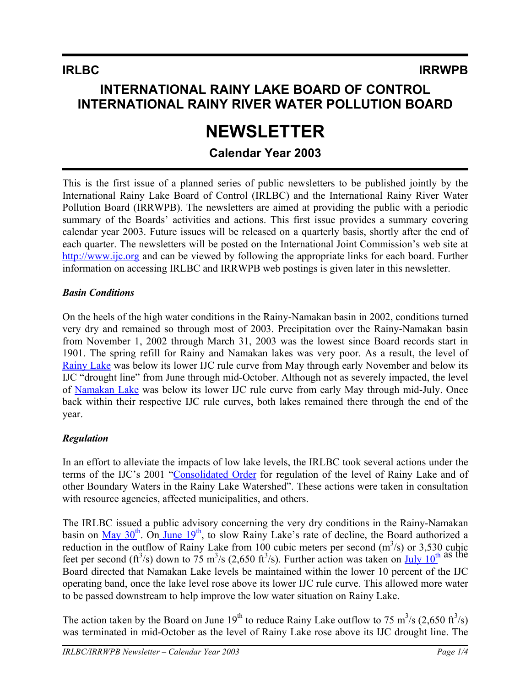# **INTERNATIONAL RAINY LAKE BOARD OF CONTROL INTERNATIONAL RAINY RIVER WATER POLLUTION BOARD**

# **NEWSLETTER**

# **Calendar Year 2003**

This is the first issue of a planned series of public newsletters to be published jointly by the International Rainy Lake Board of Control (IRLBC) and the International Rainy River Water Pollution Board (IRRWPB). The newsletters are aimed at providing the public with a periodic summary of the Boards' activities and actions. This first issue provides a summary covering calendar year 2003. Future issues will be released on a quarterly basis, shortly after the end of each quarter. The newsletters will be posted on the International Joint Commission's web site at [http://www.ijc.org](http://www.ijc.org/) and can be viewed by following the appropriate links for each board. Further information on accessing IRLBC and IRRWPB web postings is given later in this newsletter.

## *Basin Conditions*

On the heels of the high water conditions in the Rainy-Namakan basin in 2002, conditions turned very dry and remained so through most of 2003. Precipitation over the Rainy-Namakan basin from November 1, 2002 through March 31, 2003 was the lowest since Board records start in 1901. The spring refill for Rainy and Namakan lakes was very poor. As a result, the level of [Rainy Lake](http://www.lwcb.ca/permpdf/RL/5-Yr_RL-2001-2005.pdf) was below its lower IJC rule curve from May through early November and below its IJC "drought line" from June through mid-October. Although not as severely impacted, the level of [Namakan Lake](http://www.lwcb.ca/permpdf/NL/5-Yr_NL-2001-2005.pdf) was below its lower IJC rule curve from early May through mid-July. Once back within their respective IJC rule curves, both lakes remained there through the end of the year.

## *Regulation*

In an effort to alleviate the impacts of low lake levels, the IRLBC took several actions under the terms of the IJC's 2001 "[Consolidated Order](http://www.ijc.org/rel/boards/rainylake/Order_e.pdf) for regulation of the level of Rainy Lake and of other Boundary Waters in the Rainy Lake Watershed". These actions were taken in consultation with resource agencies, affected municipalities, and others.

The IRLBC issued a public advisory concerning the very dry conditions in the Rainy-Namakan basin on  $\frac{\text{May } 30^{\text{th}}}{\text{On June } 19^{\text{th}}}$  $\frac{\text{May } 30^{\text{th}}}{\text{On June } 19^{\text{th}}}$  $\frac{\text{May } 30^{\text{th}}}{\text{On June } 19^{\text{th}}}$  $\frac{\text{May } 30^{\text{th}}}{\text{On June } 19^{\text{th}}}$  $\frac{\text{May } 30^{\text{th}}}{\text{On June } 19^{\text{th}}}$ , to slow Rainy Lake's rate of decline, the Board authorized a reduction in the outflow of Rainy Lake from 100 cubic meters per second  $(m^3/s)$  or 3,530 cubic feet per second (ft<sup>3</sup>/s) down to 75 m<sup>3</sup>/s (2,650 ft<sup>3</sup>/s). Further action was taken on  $\underline{July 10}^{\text{th}}$  $\underline{July 10}^{\text{th}}$  $\underline{July 10}^{\text{th}}$  as the Board directed that Namakan Lake levels be maintained within the lower 10 percent of the IJC operating band, once the lake level rose above its lower IJC rule curve. This allowed more water to be passed downstream to help improve the low water situation on Rainy Lake.

The action taken by the Board on June 19<sup>th</sup> to reduce Rainy Lake outflow to 75 m<sup>3</sup>/s (2,650 ft<sup>3</sup>/s) was terminated in mid-October as the level of Rainy Lake rose above its IJC drought line. The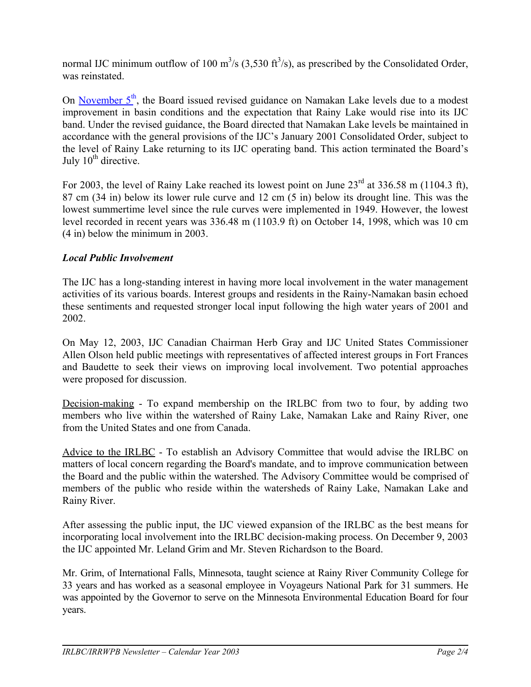normal IJC minimum outflow of 100 m<sup>3</sup>/s (3,530 ft<sup>3</sup>/s), as prescribed by the Consolidated Order, was reinstated.

On [November](http://www.ijc.org/rel/boards/rainylake/20031105_e.htm)  $5<sup>th</sup>$ , the Board issued revised guidance on Namakan Lake levels due to a modest improvement in basin conditions and the expectation that Rainy Lake would rise into its IJC band. Under the revised guidance, the Board directed that Namakan Lake levels be maintained in accordance with the general provisions of the IJC's January 2001 Consolidated Order, subject to the level of Rainy Lake returning to its IJC operating band. This action terminated the Board's July  $10^{th}$  directive.

For 2003, the level of Rainy Lake reached its lowest point on June  $23<sup>rd</sup>$  at 336.58 m (1104.3 ft), 87 cm (34 in) below its lower rule curve and 12 cm (5 in) below its drought line. This was the lowest summertime level since the rule curves were implemented in 1949. However, the lowest level recorded in recent years was 336.48 m (1103.9 ft) on October 14, 1998, which was 10 cm (4 in) below the minimum in 2003.

## *Local Public Involvement*

The IJC has a long-standing interest in having more local involvement in the water management activities of its various boards. Interest groups and residents in the Rainy-Namakan basin echoed these sentiments and requested stronger local input following the high water years of 2001 and 2002.

On May 12, 2003, IJC Canadian Chairman Herb Gray and IJC United States Commissioner Allen Olson held public meetings with representatives of affected interest groups in Fort Frances and Baudette to seek their views on improving local involvement. Two potential approaches were proposed for discussion.

Decision-making - To expand membership on the IRLBC from two to four, by adding two members who live within the watershed of Rainy Lake, Namakan Lake and Rainy River, one from the United States and one from Canada.

Advice to the IRLBC - To establish an Advisory Committee that would advise the IRLBC on matters of local concern regarding the Board's mandate, and to improve communication between the Board and the public within the watershed. The Advisory Committee would be comprised of members of the public who reside within the watersheds of Rainy Lake, Namakan Lake and Rainy River.

After assessing the public input, the IJC viewed expansion of the IRLBC as the best means for incorporating local involvement into the IRLBC decision-making process. On December 9, 2003 the IJC appointed Mr. Leland Grim and Mr. Steven Richardson to the Board.

Mr. Grim, of International Falls, Minnesota, taught science at Rainy River Community College for 33 years and has worked as a seasonal employee in Voyageurs National Park for 31 summers. He was appointed by the Governor to serve on the Minnesota Environmental Education Board for four years.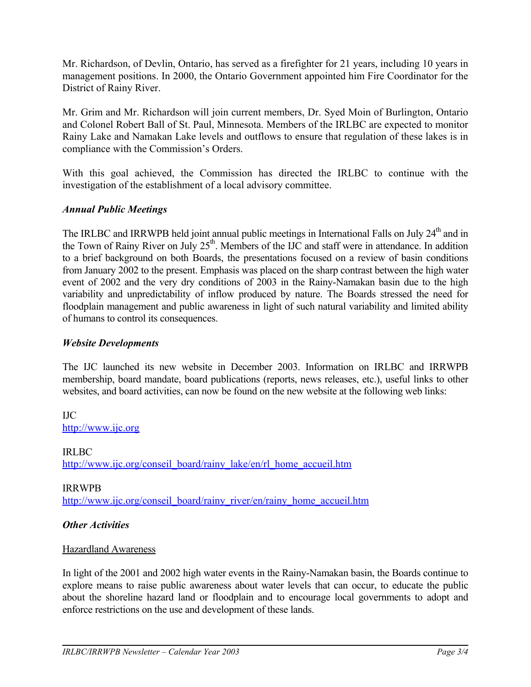Mr. Richardson, of Devlin, Ontario, has served as a firefighter for 21 years, including 10 years in management positions. In 2000, the Ontario Government appointed him Fire Coordinator for the District of Rainy River.

Mr. Grim and Mr. Richardson will join current members, Dr. Syed Moin of Burlington, Ontario and Colonel Robert Ball of St. Paul, Minnesota. Members of the IRLBC are expected to monitor Rainy Lake and Namakan Lake levels and outflows to ensure that regulation of these lakes is in compliance with the Commission's Orders.

With this goal achieved, the Commission has directed the IRLBC to continue with the investigation of the establishment of a local advisory committee.

#### *Annual Public Meetings*

The IRLBC and IRRWPB held joint annual public meetings in International Falls on July 24<sup>th</sup> and in the Town of Rainy River on July  $25<sup>th</sup>$ . Members of the IJC and staff were in attendance. In addition to a brief background on both Boards, the presentations focused on a review of basin conditions from January 2002 to the present. Emphasis was placed on the sharp contrast between the high water event of 2002 and the very dry conditions of 2003 in the Rainy-Namakan basin due to the high variability and unpredictability of inflow produced by nature. The Boards stressed the need for floodplain management and public awareness in light of such natural variability and limited ability of humans to control its consequences.

#### *Website Developments*

The IJC launched its new website in December 2003. Information on IRLBC and IRRWPB membership, board mandate, board publications (reports, news releases, etc.), useful links to other websites, and board activities, can now be found on the new website at the following web links:

IJC [http://www.ijc.org](http://www.ijc.org/)

IRLBC [http://www.ijc.org/conseil\\_board/rainy\\_lake/en/rl\\_home\\_accueil.htm](http://www.ijc.org/conseil_board/rainy_lake/en/rl_home_accueil.htm)

IRRWPB [http://www.ijc.org/conseil\\_board/rainy\\_river/en/rainy\\_home\\_accueil.htm](http://www.ijc.org/conseil_board/rainy_river/en/rainy_home_accueil.htm)

#### *Other Activities*

#### Hazardland Awareness

In light of the 2001 and 2002 high water events in the Rainy-Namakan basin, the Boards continue to explore means to raise public awareness about water levels that can occur, to educate the public about the shoreline hazard land or floodplain and to encourage local governments to adopt and enforce restrictions on the use and development of these lands.